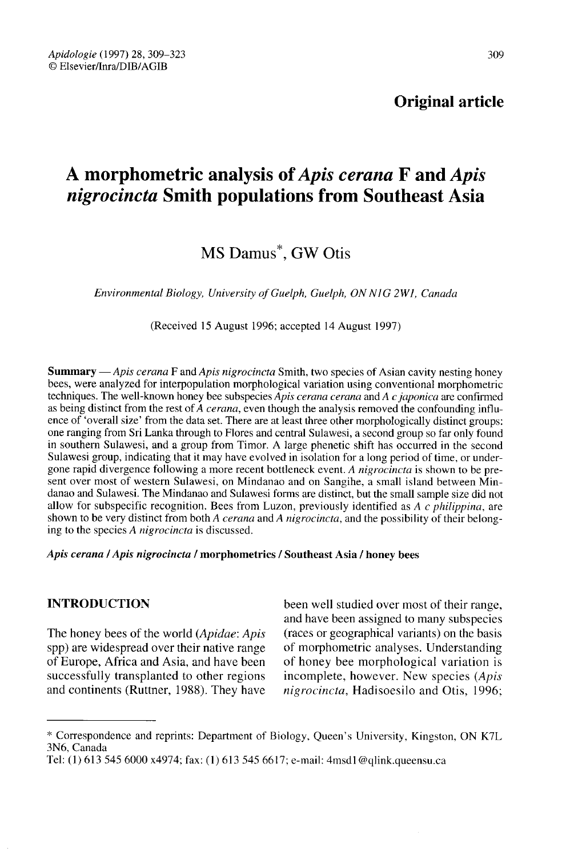## Original article

# A morphometric analysis of Apis cerana F and Apis nigrocincta Smith populations from Southeast Asia

## MS Damus<sup>\*</sup>, GW Otis

Environmental Biology, University of Guelph, Guelph, ON N1G 2W1, Canada

(Received 15 August 1996; accepted 14 August 1997)

**Summary** — Apis cerana F and Apis nigrocincta Smith, two species of Asian cavity nesting honey bees, were analyzed for interpopulation morphological variation using conventional morphometric techniques. The well-known honey bee subspecies  $Apis$  cerana cerana and  $A c$  japonica are confirmed as being distinct from the rest of A *cerana*, even though the analysis removed the confounding influence of 'overall size' from the data set. There are at least three other morphologically distinct groups: one ranging from Sri Lanka through to Flores and central Sulawesi, a second group so far only found in southern Sulawesi, and a group from Timor. A large phenetic shift has occurred in the second Sulawesi group, indicating that it may have evolved in isolation for a long period of time, or under-<br>gone rapid divergence following a more recent bottleneck event. A *nigrocincta* is shown to be present over most of western Sulawesi, on Mindanao and on Sangihe, a small island between Mindanao and Sulawesi. The Mindanao and Sulawesi forms are distinct, but the small sample size did not allow for subspecific recognition. Bees from Luzon, previously identified as  $A \, c \, philippina$ , are shown to be very distinct from both A *cerana* and A nigrocincta, and the possibility of their belong-<br>ing to the species A nigrocincta is discussed.

#### Apis cerana / Apis nigrocincta / morphometrics / Southeast Asia / honey bees

### INTRODUCTION

The honey bees of the world (*Apidae*: *Apis* spp) are widespread over their native range of Europe, Africa and Asia, and have been successfully transplanted to other regions and continents (Ruttner, 1988). They have been well studied over most of their range, and have been assigned to many subspecies (races or geographical variants) on the basis of morphometric analyses. Understanding of honey bee morphological variation is incomplete, however. New species (Apis nigrocincta, Hadisoesilo and Otis, 1996;

<sup>\*</sup> Correspondence and reprints: Department of Biology, Queen's University, Kingston, ON K7L 3N6, Canada

Tel: (1) 613 545 6000 x4974; fax: (1) 613 545 6617; e-mail: 4msd1@qlink.queensu.ca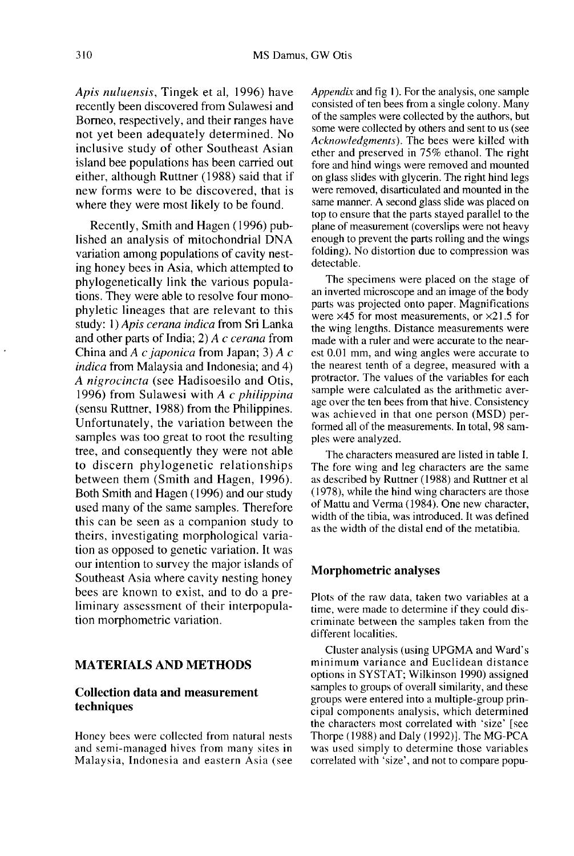Apis nuluensis, Tingek et al, 1996) have recently been discovered from Sulawesi and Borneo, respectively, and their ranges have not yet been adequately determined. No inclusive study of other Southeast Asian island bee populations has been carried out either, although Ruttner (1988) said that if new forms were to be discovered, that is where they were most likely to be found.

Recently, Smith and Hagen (1996) published an analysis of mitochondrial DNA variation among populations of cavity nesting honey bees in Asia, which attempted to phylogenetically link the various populations. They were able to resolve four monophyletic lineages that are relevant to this study: 1) Apis cerana indica from Sri Lanka and other parts of India; 2) A c cerana from China and A c japonica from Japan; 3) A  $c$ indica from Malaysia and Indonesia; and 4) A nigrocincta (see Hadisoesilo and Otis, 1996) from Sulawesi with  $A$  c philippina (sensu Ruttner, 1988) from the Philippines. Unfortunately, the variation between the samples was too great to root the resulting tree, and consequently they were not able to discern phylogenetic relationships between them (Smith and Hagen, 1996). Both Smith and Hagen (1996) and our study used many of the same samples. Therefore this can be seen as a companion study to theirs, investigating morphological variation as opposed to genetic variation. It was our intention to survey the major islands of Southeast Asia where cavity nesting honey bees are known to exist, and to do a preliminary assessment of their interpopulation morphometric variation.

## MATERIALS AND METHODS

## Collection data and measurement techniques

Honey bees were collected from natural nests and semi-managed hives from many sites in Malaysia, Indonesia and eastern Asia (see Appendix and fig I). For the analysis, one sample consisted of ten bees from a single colony. Many of the samples were collected by the authors, but some were collected by others and sent to us (see Acknowledgments). The bees were killed with ether and preserved in 75% ethanol. The right fore and hind wings were removed and mounted on glass slides with glycerin. The right hind legs were removed, disarticulated and mounted in the same manner. A second glass slide was placed on top to ensure that the parts stayed parallel to the plane of measurement (coverslips were not heavy enough to prevent the parts rolling and the wings folding). No distortion due to compression was detectable.

The specimens were placed on the stage of an inverted microscope and an image of the body parts was projected onto paper. Magnifications were x45 for most measurements, or ×21.5 for the wing lengths. Distance measurements were made with a ruler and were accurate to the nearest 0.01 mm, and wing angles were accurate to the nearest tenth of a degree, measured with a protractor. The values of the variables for each sample were calculated as the arithmetic average over the ten bees from that hive. Consistency was achieved in that one person (MSD) performed all of the measurements. In total, 98 samples were analyzed.

The characters measured are listed in table I. The fore wing and leg characters are the same as described by Ruttner (1988) and Ruttner et al (1978), while the hind wing characters are those of Mattu and Verma (1984). One new character, width of the tibia, was introduced. It was defined as the width of the distal end of the metatibia.

#### Morphometric analyses

Plots of the raw data, taken two variables at a time, were made to determine if they could discriminate between the samples taken from the different localities.

Cluster analysis (using UPGMA and Ward's minimum variance and Euclidean distance options in SYSTAT; Wilkinson 1990) assigned samples to groups of overall similarity, and these groups were entered into a multiple-group principal components analysis, which determined the characters most correlated with 'size' [see Thorpe (1988) and Daly (1992)]. The MG-PCA was used simply to determine those variables correlated with 'size', and not to compare popu-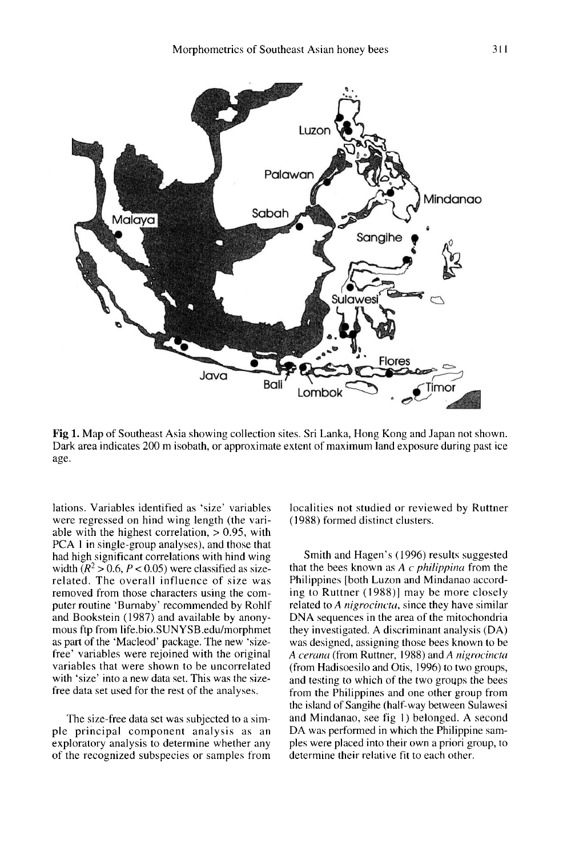

Fig 1. Map of Southeast Asia showing collection sites. Sri Lanka, Hong Kong and Japan not shown. Dark area indicates 200 m isobath, or approximate extent of maximum land exposure during past ice age.

lations. Variables identified as 'size' variables were regressed on hind wing length (the variable with the highest correlation,  $> 0.95$ , with PCA 1 in single-group analyses), and those that had high significant correlations with hind wing width  $(R^2 > 0.6, P < 0.05)$  were classified as sizerelated. The overall influence of size was removed from those characters using the computer routine 'Burnaby' recommended by Rohlf and Bookstein (1987) and available by anony-<br>mous ftp from life.bio.SUNYSB.edu/morphmet as part of the 'Macleod' package. The new 'sizefree' variables were rejoined with the original variables that were shown to be uncorrelated with 'size' into a new data set. This was the sizefree data set used for the rest of the analyses.

The size-free data set was subjected to a simple principal component analysis as an exploratory analysis to determine whether any of the recognized subspecies or samples from localities not studied or reviewed by Ruttner (1988) formed distinct clusters.

Smith and Hagen's (1996) results suggested that the bees known as  $A \, c \, phi$  philippina from the Philippines [both Luzon and Mindanao according to Ruttner (1988)] may be more closely related to A *nigrocincta*, since they have similar DNA sequences in the area of the mitochondria they investigated. A discriminant analysis (DA) was designed, assigning those bees known to be A cerana (from Ruttner, 1988) and A nigrocincta (from Hadisoesilo and Otis, 1996) to two groups, and testing to which of the two groups the bees from the Philippines and one other group from the island of Sangihe (half-way between Sulawesi and Mindanao, see fig 1) belonged. A second DA was performed in which the Philippine samples were placed into their own a priori group, to determine their relative fit to each other.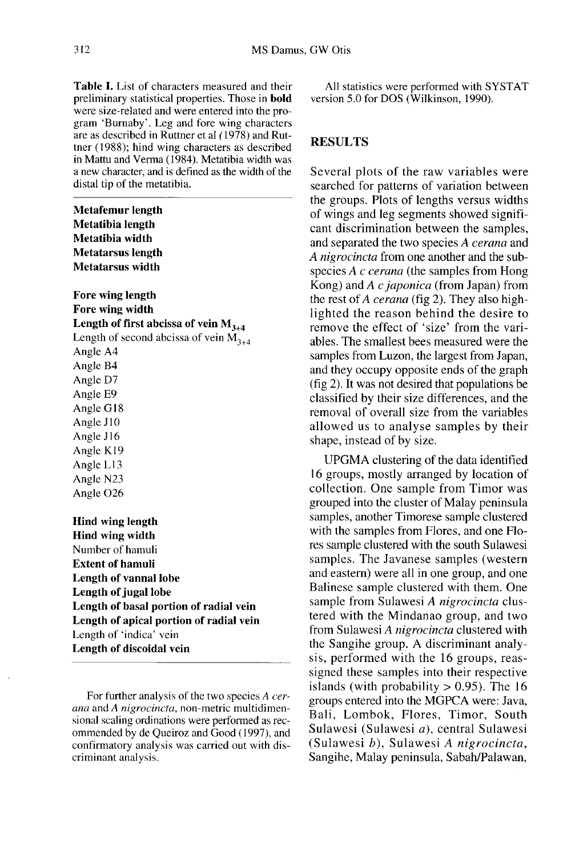Table I. List of characters measured and their preliminary statistical properties. Those in **bold** were size-related and were entered into the program 'Burnaby'. Leg and fore wing characters are as described in Ruttner et al (1978) and Ruttner (1988); hind wing characters as described in Mattu and Verma (1984). Metatibia width was a new character, and is defined as the width of the distal tip of the metatibia.

**Metafemur length** Metatibia length Metatibia width **Metatarsus length Metatarsus width** 

Fore wing length Fore wing width Length of first abcissa of vein  $M_{3,4}$ Length of second abcissa of vein  $M_{3+4}$ Angle A4 Angle B4 Angle D7 Angle E9 Angle G18 Angle J10 Angle J16 Angle K19 Angle L13 Angle N23 Angle O<sub>26</sub> **Hind wing length Hind wing width** Number of hamuli **Extent of hamuli** Length of vannal lobe Length of jugal lobe Length of basal portion of radial vein Length of apical portion of radial vein Length of 'indica' vein

Length of discoidal vein

For further analysis of the two species A cerana and A nigrocincta, non-metric multidimensional scaling ordinations were performed as recommended by de Queiroz and Good (1997), and confirmatory analysis was carried out with discriminant analysis.

All statistics were performed with SYSTAT version 5.0 for DOS (Wilkinson, 1990).

## RESULTS

Several plots of the raw variables were searched for patterns of variation between the groups. Plots of lengths versus widths of wings and leg segments showed signifi cant discrimination between the samples, and separated the two species A cerana and A nigrocincta from one another and the subspecies  $A$  c cerana (the samples from Hong Kong) and A c japonica (from Japan) from the rest of A cerana (fig 2). They also highlighted the reason behind the desire to remove the effect of 'size' from the variables. The smallest bees measured were the samples from Luzon, the largest from Japan, and they occupy opposite ends of the graph (fig 2). It was not desired that populations be classified by their size differences, and the removal of overall size from the variables allowed us to analyse samples by their shape, instead of by size.

UPGMA clustering of the data identified 16 groups, mostly arranged by location of collection. One sample from Timor was grouped into the cluster of Malay peninsula samples, another Timorese sample clustered with the samples from Flores, and one Flores sample clustered with the south Sulawesi samples. The Javanese samples (western and eastern) were all in one group, and one Balinese sample clustered with them. One sample from Sulawesi A nigrocincta clustered with the Mindanao group, and two from Sulawesi A nigrocincta clustered with the Sangihe group. A discriminant analysis, performed with the 16 groups, reassigned these samples into their respective islands (with probability  $> 0.95$ ). The 16 groups entered into the MGPCA were: Java, Bali, Lombok, Flores, Timor, South Sulawesi (Sulawesi a), central Sulawesi (Sulawesi b), Sulawesi A nigrocincta, Sangihe, Malay peninsula, Sabah/Palawan,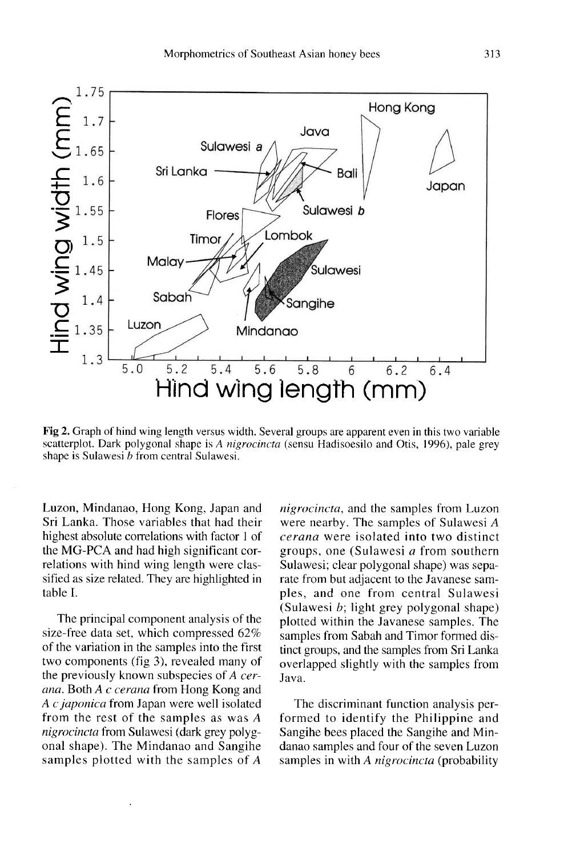

Fig 2. Graph of hind wing length versus width. Several groups are apparent even in this two variable scatterplot. Dark polygonal shape is A nigrocincta (sensu Hadisoesilo and Otis, 1996), pale grey shape is Sulawesi  $b$  from central Sulawesi.

Luzon, Mindanao, Hong Kong, Japan and Sri Lanka. Those variables that had their highest absolute correlations with factor 1 of the MG-PCA and had high significant correlations with hind wing length were classified as size related. They are highlighted in table I.

The principal component analysis of the size-free data set, which compressed 62% of the variation in the samples into the first two components (fig 3), revealed many of the previously known subspecies of A cerana. Both A c cerana from Hong Kong and A c japonica from Japan were well isolated from the rest of the samples as was A nigrocincta from Sulawesi (dark grey polygonal shape). The Mindanao and Sangihe samples plotted with the samples of A

nigrocincta, and the samples from Luzon were nearby. The samples of Sulawesi A cerana were isolated into two distinct groups, one (Sulawesi a from southern Sulawesi; clear polygonal shape) was sepa rate from but adjacent to the Javanese samples, and one from central Sulawesi (Sulawesi  $b$ ; light grey polygonal shape) plotted within the Javanese samples. The samples from Sabah and Timor formed distinct groups, and the samples from Sri Lanka overlapped slightly with the samples from Java.

The discriminant function analysis performed to identify the Philippine and Sangihe bees placed the Sangihe and Mindanao samples and four of the seven Luzon samples in with A nigrocincta (probability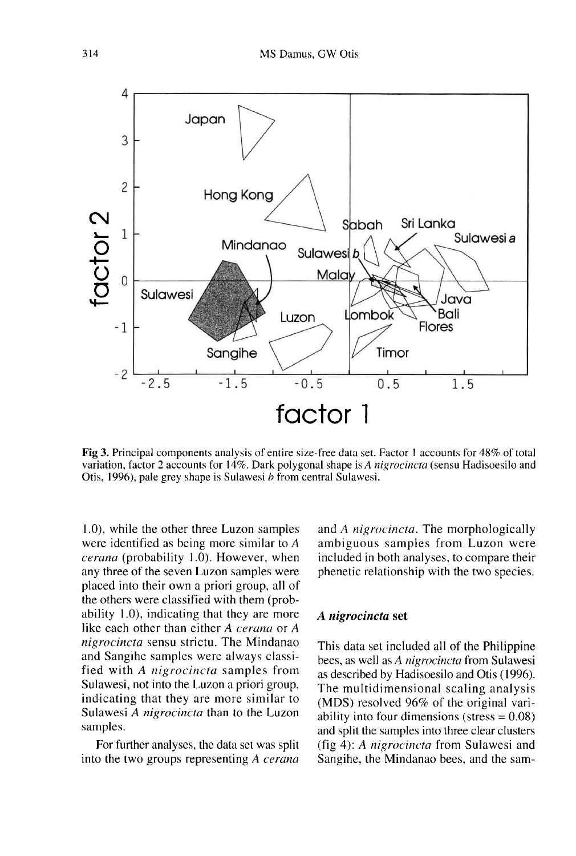

Fig 3. Principal components analysis of entire size-free data set. Factor 1 accounts for 48% of total variation, factor 2 accounts for 14%. Dark polygonal shape is A *nigrocincta* (sensu Hadisoesilo and Otis, 1996), pale grey shape is Sulawesi *b* from central Sulawesi.

1.0), while the other three Luzon samples were identified as being more similar to A cerana (probability 1.0). However, when any three of the seven Luzon samples were placed into their own a priori group, all of the others were classified with them (probability 1.0), indicating that they are more like each other than either A cerana or A nigrocincta sensu strictu. The Mindanao and Sangihe samples were always classified with A nigrocincta samples from Sulawesi, not into the Luzon a priori group, indicating that they are more similar to Sulawesi A nigrocincta than to the Luzon samples.

For further analyses, the data set was split into the two groups representing A cerana

and A nigrocincta. The morphologically ambiguous samples from Luzon were included in both analyses, to compare their phenetic relationship with the two species.

#### A nigrocincta set

This data set included all of the Philippine bees, as well as A nigrocincta from Sulawesi as described by Hadisoesilo and Otis (1996). The multidimensional scaling analysis (MDS) resolved 96% of the original variability into four dimensions (stress  $= 0.08$ ) and split the samples into three clear clusters (fig 4): A nigrocincta from Sulawesi and Sangihe, the Mindanao bees, and the sam-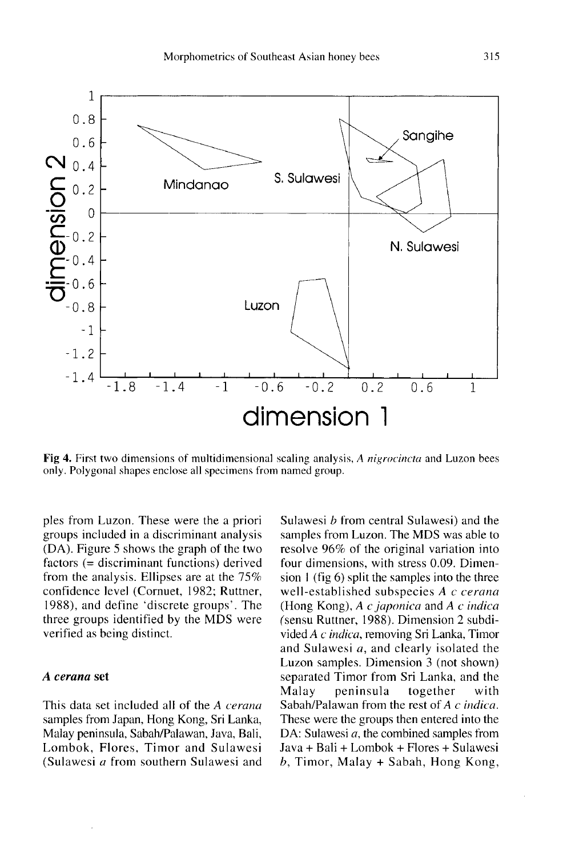

Fig 4. First two dimensions of multidimensional scaling analysis, A nigrocincta and Luzon bees only. Polygonal shapes enclose all specimens from named group.

ples from Luzon. These were the a priori groups included in a discriminant analysis (DA). Figure 5 shows the graph of the two factors (= discriminant functions) derived from the analysis. Ellipses are at the 75% confidence level (Cornuet, 1982; Ruttner, 1988), and define 'discrete groups'. The three groups identified by the MDS were verified as being distinct.

#### A cerana set

This data set included all of the A cerana samples from Japan, Hong Kong, Sri Lanka, Malay peninsula, Sabah/Palawan, Java, Bali, Lombok, Flores, Timor and Sulawesi (Sulawesi a from southern Sulawesi and Sulawesi b from central Sulawesi) and the samples from Luzon. The MDS was able to resolve 96% of the original variation into four dimensions, with stress 0.09. Dimension 1 (fig 6) split the samples into the three well-established subspecies A c cerana (Hong Kong),  $A \, c$  japonica and  $A \, c$  indica (sensu Ruttner, 1988). Dimension 2 subdivided A c indica, removing Sri Lanka, Timor and Sulawesi a, and clearly isolated the Luzon samples. Dimension 3 (not shown) separated Timor from Sri Lanka, and the<br>Malay peninsula together with Malay peninsula together with Sabah/Palawan from the rest of A c indica. These were the groups then entered into the DA: Sulawesi  $a$ , the combined samples from Java + Bali + Lombok + Flores + Sulawesi b, Timor, Malay + Sabah, Hong Kong,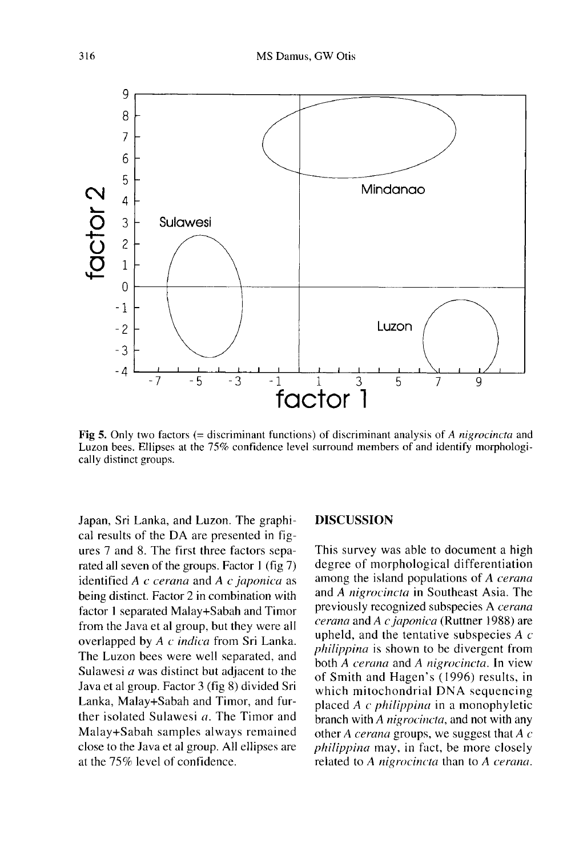

Fig 5. Only two factors (= discriminant functions) of discriminant analysis of A nigrocincta and Luzon bees. Ellipses at the 75% confidence level surround members of and identify morphologically distinct groups.

Japan, Sri Lanka, and Luzon. The graphical results of the DA are presented in fig ures 7 and 8. The first three factors separated all seven of the groups. Factor 1 (fig 7) identified  $A$  c cerana and  $A$  c japonica as being distinct. Factor 2 in combination with factor 1 separated Malay+Sabah and Timor from the Java et al group, but they were all overlapped by A c indica from Sri Lanka. The Luzon bees were well separated, and Sulawesi  $a$  was distinct but adjacent to the Java et al group. Factor 3 (fig 8) divided Sri Lanka, Malay+Sabah and Timor, and further isolated Sulawesi a. The Timor and Malay+Sabah samples always remained close to the Java et al group. All ellipses are at the 75% level of confidence.

#### DISCUSSION

This survey was able to document a high degree of morphological differentiation among the island populations of A cerana and A nigrocincta in Southeast Asia. The previously recognized subspecies A cerana cerana and A c japonica (Ruttner 1988) are upheld, and the tentative subspecies  $A \, c$ philippina is shown to be divergent from both A cerana and A nigrocincta. In view of Smith and Hagen's (1996) results, in which mitochondrial DNA sequencing placed A c philippina in a monophyletic branch with A nigrocincta, and not with any other A *cerana* groups, we suggest that  $\overline{A}$  c philippina may, in fact, be more closely related to A nigrocincta than to A cerana.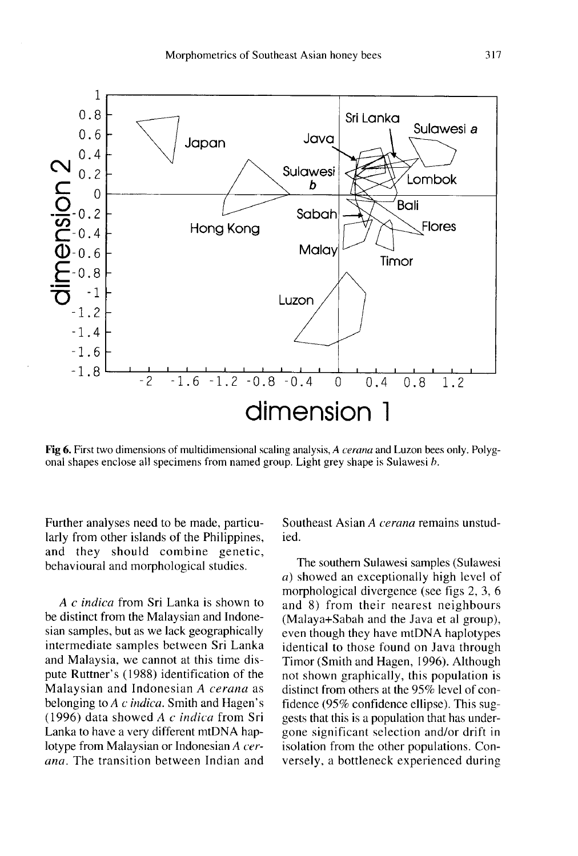

Fig 6. First two dimensions of multidimensional scaling analysis, A cerana and Luzon bees only. Polygonal shapes enclose all specimens from named group. Light grey shape is Sulawesi b.

Further analyses need to be made, particularly from other islands of the Philippines, and they should combine genetic, behavioural and morphological studies.

A c indica from Sri Lanka is shown to be distinct from the Malaysian and Indonesian samples, but as we lack geographically intermediate samples between Sri Lanka and Malaysia, we cannot at this time dispute Ruttner's (1988) identification of the Malaysian and Indonesian A cerana as belonging to  $A$  c indica. Smith and Hagen's (1996) data showed A  $c$  indica from Sri Lanka to have a very different mtDNA haplotype from Malaysian or Indonesian A cerana. The transition between Indian and Southeast Asian A cerana remains unstudied.

The southern Sulawesi samples (Sulawesi a) showed an exceptionally high level of morphological divergence (see figs 2, 3, 6 and 8) from their nearest neighbours<br>(Malaya+Sabah and the Java et al group), even though they have mtDNA haplotypes identical to those found on Java through Timor (Smith and Hagen, 1996). Although not shown graphically, this population is distinct from others at the 95% level of confidence (95% confidence ellipse). This suggests that this is a population that has undergone significant selection and/or drift in isolation from the other populations. Conversely, a bottleneck experienced during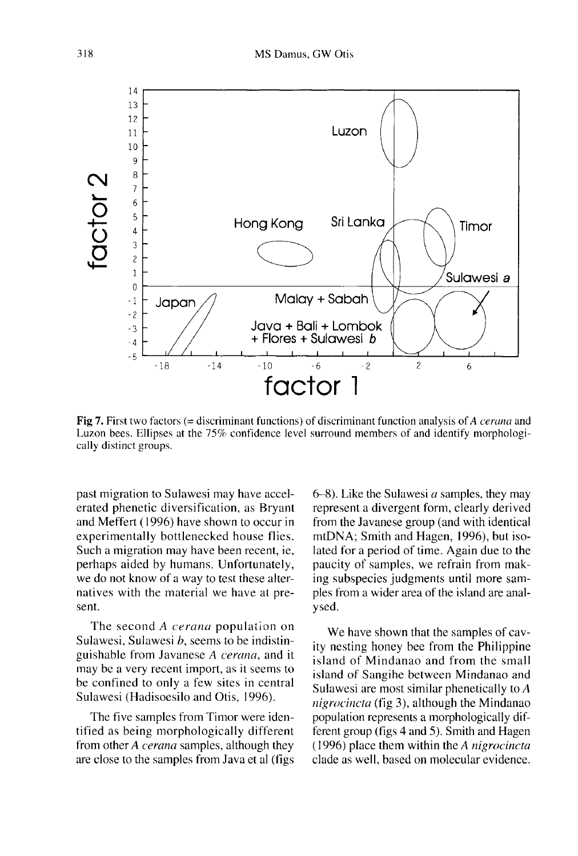

Fig 7. First two factors (= discriminant functions) of discriminant function analysis of A cerana and Luzon bees. Ellipses at the 75% confidence level surround members of and identify morphologically distinct groups.

past migration to Sulawesi may have accelerated phenetic diversification, as Bryant and Meffert ( 1996) have shown to occur in experimentally bottlenecked house flies. Such a migration may have been recent, ie, perhaps aided by humans. Unfortunately, we do not know of a way to test these alternatives with the material we have at present.

The second A *cerana* population on Sulawesi, Sulawesi *b*, seems to be indistinguishable from Javanese A cerana, and it may be a very recent import, as it seems to be confined to only a few sites in central Sulawesi (Hadisoesilo and Otis, 1996).

The five samples from Timor were identified as being morphologically different from other A cerana samples, although they are close to the samples from Java et al (figs

 $6-8$ ). Like the Sulawesi *a* samples, they may represent a divergent form, clearly derived from the Javanese group (and with identical mtDNA; Smith and Hagen, 1996), but isolated for a period of time. Again due to the paucity of samples, we refrain from making subspecies judgments until more samples from a wider area of the island are analysed.

We have shown that the samples of cavity nesting honey bee from the Philippine island of Mindanao and from the small island of Sangihe between Mindanao and Sulawesi are most similar phenetically to A nigrocincta (fig 3), although the Mindanao population represents a morphologically different group (figs 4 and 5). Smith and Hagen (1996) place them within the A nigrocincta clade as well, based on molecular evidence.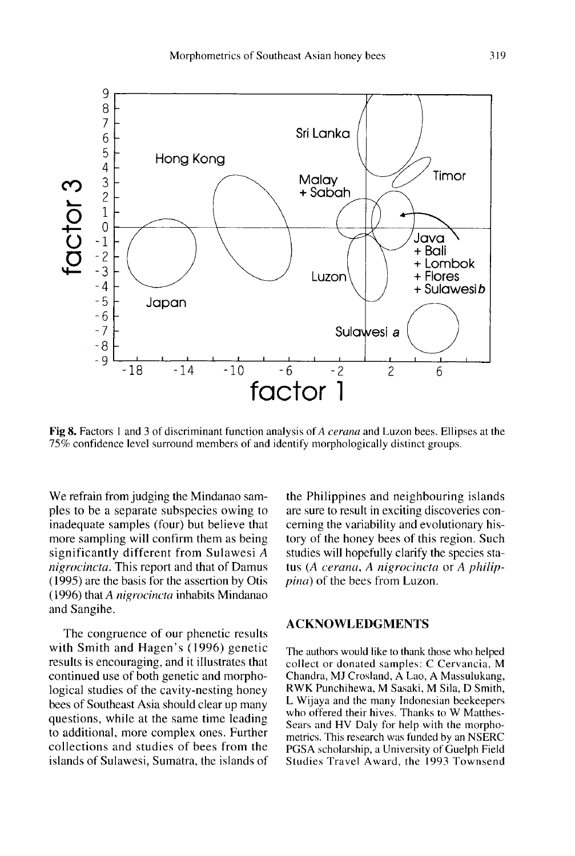

Fig 8. Factors 1 and 3 of discriminant function analysis of A cerana and Luzon bees. Ellipses at the 75% confidence level surround members of and identify morphologically distinct groups.

We refrain from judging the Mindanao samples to be a separate subspecies owing to inadequate samples (four) but believe that more sampling will confirm them as being significantly different from Sulawesi A nigrocincta. This report and that of Damus (1995) are the basis for the assertion by Otis (1996) that A nigrocincta inhabits Mindanao and Sangihe.

The congruence of our phenetic results with Smith and Hagen's (1996) genetic results is encouraging, and it illustrates that continued use of both genetic and morphological studies of the cavity-nesting honey bees of Southeast Asia should clear up many questions, while at the same time leading to additional, more complex ones. Further collections and studies of bees from the islands of Sulawesi, Sumatra, the islands of the Philippines and neighbouring islands are sure to result in exciting discoveries concerning the variability and evolutionary history of the honey bees of this region. Such studies will hopefully clarify the species status (A cerana, A nigrocincta or A philippina) of the bees from Luzon.

## ACKNOWLEDGMENTS

The authors would like to thank those who helped collect or donated samples: C Cervancia, M RWK Punchihewa, M Sasaki, M Sila, D Smith, L Wijaya and the many Indonesian beekeepers who offered their hives. Thanks to W Matthes-Sears and HV Daly for help with the morphometrics. This research was funded by an NSERC PGSA scholarship, a University of Guelph Field Studies Travel Award, the 1993 Townsend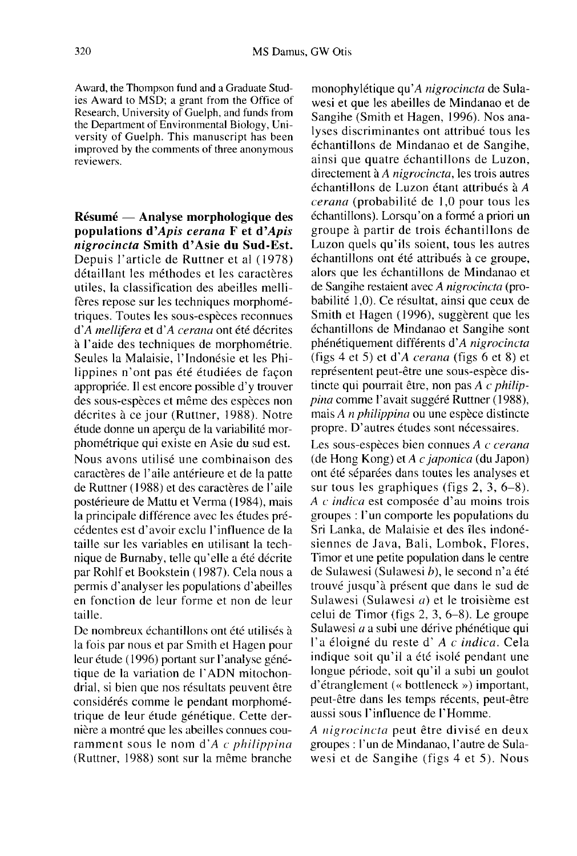Award, the Thompson fund and a Graduate Studies Award to MSD; a grant from the Office of Research, University of Guelph, and funds from the Department of Environmental Biology, University of Guelph. This manuscript has been improved by the comments of three anonymous reviewers.

Résumé — Analyse morphologique des populations d'Apis cerana F et d'Apis nigrocincta Smith d'Asie du Sud-Est. Depuis l'article de Ruttner et al (1978) détaillant les méthodes et les caractères utiles, la classification des abeilles mellifères repose sur les techniques morphométriques. Toutes les sous-espèces reconnues d'A mellifera et d'A cerana ont été décrites à l'aide des techniques de morphométrie. Seules la Malaisie, l'Indonésie et les Philippines n'ont pas été étudiées de façon appropriée. Il est encore possible d'y trouver des sous-espèces et même des espèces non décrites à ce jour (Ruttner, 1988). Notre étude donne un aperçu de la variabilité morphométrique qui existe en Asie du sud est. Nous avons utilisé une combinaison des caractères de l'aile antérieure et de la patte de Ruttner ( 1988) et des caractères de l'aile postérieure de Mattu et Verma ( 1984), mais la principale différence avec les études précédentes est d'avoir exclu l'influence de la taille sur les variables en utilisant la technique de Burnaby, telle qu'elle a été décrite par Rohlf et Bookstein (1987). Cela nous a permis d'analyser les populations d'abeilles en fonction de leur forme et non de leur taille.

De nombreux échantillons ont été utilisés à la fois par nous et par Smith et Hagen pour leur étude (1996) portant sur l'analyse génétique de la variation de l'ADN mitochondrial, si bien que nos résultats peuvent être considérés comme le pendant morphométrique de leur étude génétique. Cette dernière a montré que les abeilles connues couramment sous le nom d' $A$  c philippina (Ruttner, 1988) sont sur la même branche

monophylétique qu'A nigrocincta de Sulawesi et que les abeilles de Mindanao et de Sangihe (Smith et Hagen, 1996). Nos analyses discriminantes ont attribué tous les échantillons de Mindanao et de Sangihe, ainsi que quatre échantillons de Luzon, directement à A nigrocincta, les trois autres échantillons de Luzon étant attribués à A cerana (probabilité de 1,0 pour tous les échantillons). Lorsqu'on a formé a priori un groupe à partir de trois échantillons de Luzon quels qu'ils soient, tous les autres échantillons ont été attribués à ce groupe, alors que les échantillons de Mindanao et de Sangihe restaient avec A nigrocincta (probabilité 1,0). Ce résultat, ainsi que ceux de Smith et Hagen (1996), suggèrent que les échantillons de Mindanao et Sangihe sont phénétiquement différents d'A nigrocincta (figs 4 et 5) et d'A cerana (figs 6 et 8) et représentent peut-être une sous-espèce distincte qui pourrait être, non pas A c philippina comme l'avait suggéré Ruttner (1988), mais A n philippina ou une espèce distincte propre. D'autres études sont nécessaires.

Les sous-espèces bien connues A c cerana (de Hong Kong) et A c japonica (du Japon) ont été séparées dans toutes les analyses et sur tous les graphiques (figs 2, 3, 6-8). A c indica est composée d'au moins trois groupes : l'un comporte les populations du Sri Lanka, de Malaisie et des îles indonésiennes de Java, Bali, Lombok, Flores, Timor et une petite population dans le centre de Sulawesi (Sulawesi b), le second n'a été trouvé jusqu'à présent que dans le sud de Sulawesi (Sulawesi a) et le troisième est celui de Timor (figs 2, 3, 6-8). Le groupe Sulawesi a a subi une dérive phénétique qui l'a éloigné du reste d' A c indica. Cela indique soit qu'il a été isolé pendant une longue période, soit qu'il a subi un goulot d'étranglement (« bottleneck ») important, peut-être dans les temps récents, peut-être aussi sous l'influence de l'Homme.

A nigrocincta peut être divisé en deux groupes : l'un de Mindanao, l'autre de Sulawesi et de Sangihe (figs 4 et 5). Nous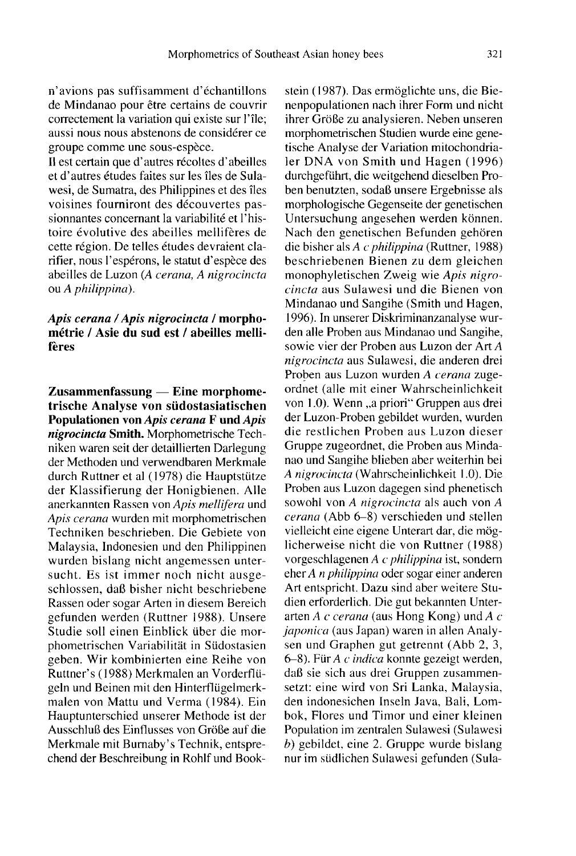n'avions pas suffisamment d'échantillons de Mindanao pour être certains de couvrir correctement la variation qui existe sur l'île; aussi nous nous abstenons de considérer ce groupe comme une sous-espèce.

Il est certain que d'autres récoltes d'abeilles et d'autres études faites sur les îles de Sulawesi, de Sumatra, des Philippines et des îles voisines fourniront des découvertes passionnantes concernant la variabilité et l'histoire évolutive des abeilles mellifères de cette région. De telles études devraient clarifier, nous l'espérons, le statut d'espèce des abeilles de Luzon (A cerana, A nigrocincta ou A philippina).

## Apis cerana / Apis nigrocincta / morphométrie / Asie du sud est / abeilles mellifères

Zusammenfassung — Eine morphometrische Analyse von südostasiatischen Populationen von Apis cerana F und Apis nigrocincta Smith. Morphometrische Techniken waren seit der detaillierten Darlegung der Methoden und verwendbaren Merkmale durch Ruttner et al (1978) die Hauptstütze der Klassifierung der Honigbienen. Alle anerkannten Rassen von Apis mellifera und Apis cerana wurden mit morphometrischen Techniken beschrieben. Die Gebiete von Malaysia, Indonesien und den Philippinen wurden bislang nicht angemessen untersucht. Es ist immer noch nicht ausgeschlossen, daß bisher nicht beschriebene Rassen oder sogar Arten in diesem Bereich gefunden werden (Ruttner 1988). Unsere Studie soll einen Einblick über die morphometrischen Variabilität in Südostasien geben. Wir kombinierten eine Reihe von Ruttner's (1988) Merkmalen an Vorderflügeln und Beinen mit den Hinterflügelmerkmalen von Mattu und Verma (1984). Ein Hauptunterschied unserer Methode ist der Ausschluß des Einflusses von Größe auf die Merkmale mit Burnaby's Technik, entsprechend der Beschreibung in Rohlf und Book-

stein (1987). Das ermöglichte uns, die Bienenpopulationen nach ihrer Form und nicht ihrer Größe zu analysieren. Neben unseren morphometrischen Studien wurde eine genetische Analyse der Variation mitochondria- ]er DNA von Smith und Hagen (1996) durchgeführt, die weitgehend dieselben Proben benutzten, sodaß unsere Ergebnisse als morphologische Gegenseite der genetischen Untersuchung angesehen werden können. Nach den genetischen Befunden gehören die bisher als A c philippina (Ruttner, 1988) beschriebenen Bienen zu dem gleichen monophyletischen Zweig wie Apis nigrocincta aus Sulawesi und die Bienen von Mindanao und Sangihe (Smith und Hagen, 1996). In unserer Diskriminanzanalyse wurden alle Proben aus Mindanao und Sangihe, sowie vier der Proben aus Luzon der Art A nigrocincta aus Sulawesi, die anderen drei Proben aus Luzon wurden A cerana zugeordnet (alle mit einer Wahrscheinlichkeit von 1.0). Wenn "a priori" Gruppen aus drei der Luzon-Proben gebildet wurden, wurden die restlichen Proben aus Luzon dieser Gruppe zugeordnet, die Proben aus Mindanao und Sangihe blieben aber weiterhin bei A nigrocincta (Wahrscheinlichkeit 1.0). Die Proben aus Luzon dagegen sind phenetisch sowohl von A nigrocincta als auch von A cerana (Abb 6-8) verschieden und stellen vielleicht eine eigene Unterart dar, die möglicherweise nicht die von Ruttner (1988) vorgeschlagenen A c philippina ist, sondern eher A n philippina oder sogar einer anderen Art entspricht. Dazu sind aber weitere Studien erforderlich. Die gut bekannten Unterarten A c cerana (aus Hong Kong) und A c japonica (aus Japan) waren in allen Analy sen und Graphen gut getrennt (Abb 2, 3, 6-8). Für A c indica konnte gezeigt werden, daß sie sich aus drei Gruppen zusammensetzt: eine wird von Sri Lanka, Malaysia, den indonesichen Inseln Java, Bali, Lombok, Flores und Timor und einer kleinen Population im zentralen Sulawesi (Sulawesi b) gebildet, eine 2. Gruppe wurde bislang nur im südlichen Sulawesi gefunden (Sula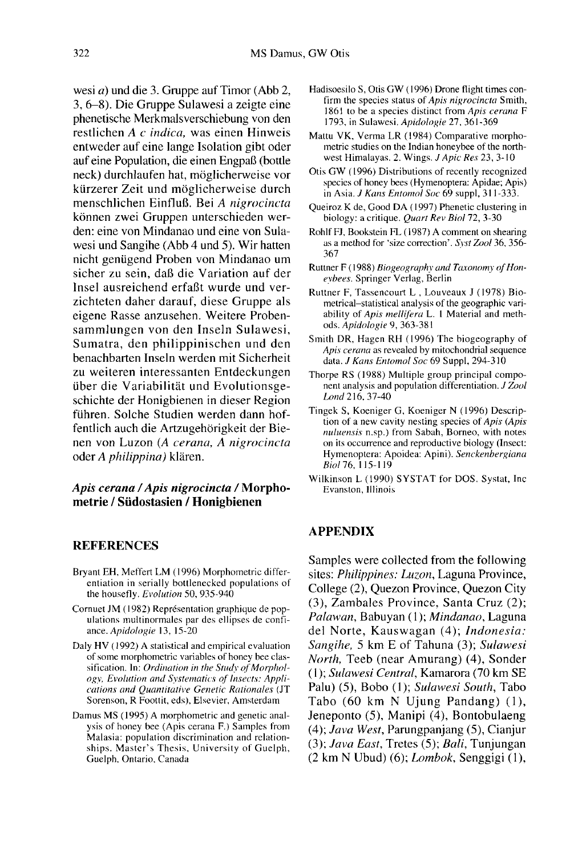wesi a) und die 3. Gruppe auf Timor (Abb 2, 3, 6-8). Die Gruppe Sulawesi a zeigte eine phenetische Merkmalsverschiebung von den restlichen A c indica, was einen Hinweis entweder auf eine lange Isolation gibt oder auf eine Population, die einen Engpaß (bottle neck) durchlaufen hat, möglicherweise vor kürzerer Zeit und möglicherweise durch menschlichen Einfluß. Bei A nigrocincta können zwei Gruppen unterschieden werden: eine von Mindanao und eine von Sulawesi und Sangihe (Abb 4 und 5). Wir hatten nicht genügend Proben von Mindanao um sicher zu sein, daß die Variation auf der Insel ausreichend erfaßt wurde und verzichteten daher darauf, diese Gruppe als eigene Rasse anzusehen. Weitere Probensammlungen von den Inseln Sulawesi, Sumatra, den philippinischen und den benachbarten Inseln werden mit Sicherheit zu weiteren interessanten Entdeckungen über die Variabilität und Evolutionsgeschichte der Honigbienen in dieser Region führen. Solche Studien werden dann hoffentlich auch die Artzugehörigkeit der Bienen von Luzon (A cerana, A nigrocincta oder A philippina) klären.

#### Apis cerana / Apis nigrocincta / Morphometrie / Südostasien / Honigbienen

#### REFERENCES

- Bryant EH, Meffert LM (1996) Morphometric differentiation in serially bottlenecked populations of the housefly. Evolution 50, 935-940
- Cornuet JM (1982) Représentation graphique de pop ulations multinormales par des ellipses de confiance. Apidologie 13, 15-20
- Daly HV (1992) A statistical and empirical evaluation of some morphometric variables of honey bee classification. In: Ordination in the Study of Morphol ogy, Evolution and Systematics of Insects: Appli cations and Quantitative Genetic Rationales (JT Sorenson, R Foottit, eds), Elsevier, Amsterdam
- Damus MS (1995) A morphometric and genetic analysis of honey bee (Apis cerana F.) Samples from Malasia: population discrimination and relationships. Master's Thesis, University of Guelph, Guelph, Ontario, Canada
- Hadisoesilo S, Otis GW (1996) Drone flight times con-<br>firm the species status of Apis nigrocincta Smith, 1861 to be a species distinct from Apis cerana F 1793, in Sulawesi. Apidologie 27, 361-369
- Mattu VK, Verma LR (1984) Comparative morpho metric studies on the Indian honeybee of the northwest Himalayas. 2. Wings. J Apic Res 23, 3-10
- Otis GW (1996) Distributions of recently recognized species of honey bees (Hymenoptera: Apidae; Apis) in Asia. J Kans Entomol Soc 69 suppl, 311-333.
- Queiroz K de, Good DA (1997) Phenetic clustering in biology: a critique. Quart Rev Biol 72, 3-30
- Rohlf FJ, Bookstein FL (1987) A comment on shearing as a method for 'size correction'. Syst Zool 36, 356-367
- Ruttner F (1988) Biogeography and Taxonomy of Honeybees. Springer Verlag, Berlin
- Ruttner F, Tassencourt L , Louveaux J (1978) Biometrical-statistical analysis of the geographic variability of Apis mellifera L. 1 Material and methods. Apidologie 9, 363-381
- Smith DR, Hagen RH (1996) The biogeography of Apis cerana as revealed by mitochondrial sequence data. J Kans Entomol Soc 69 Suppl, 294-310
- Thorpe RS (1988) Multiple group principal compo nent analysis and population differentiation. J Zool Lond 216, 37-40
- Tingek S, Koeniger G, Koeniger N (1996) Description of a new cavity nesting species of Apis (Apis nuluensis n.sp.) from Sabah, Borneo, with notes on its occurrence and reproductive biology (Insect: Hymenoptera: Apoidea: Apini). Senckenbergiana Biol 76, 115-119
- Wilkinson L (1990) SYSTAT for DOS. Systat, Inc Evanston, Illinois

### APPENDIX

Samples were collected from the following sites: *Philippines: Luzon*, Laguna Province, College (2), Quezon Province, Quezon City (3), Zambales Province, Santa Cruz (2); Palawan, Babuyan (1); Mindanao, Laguna del Norte, Kauswagan (4); Indonesia: Sangihe, 5 km E of Tahuna (3); Sulawesi North, Teeb (near Amurang) (4), Sonder (1); Sulawesi Central, Kamarora (70 km SE Palu) (5), Bobo (1); Sulawesi South, Tabo Tabo (60 km N Ujung Pandang) (1), Jeneponto (5), Manipi (4), Bontobulaeng (4); Java West, Parungpanjang (5), Cianjur (3); Java East, Tretes (5); Bali, Tunjungan  $(2 \text{ km } N \text{ Ubud})$   $(6)$ ; *Lombok*, Senggigi  $(1)$ ,